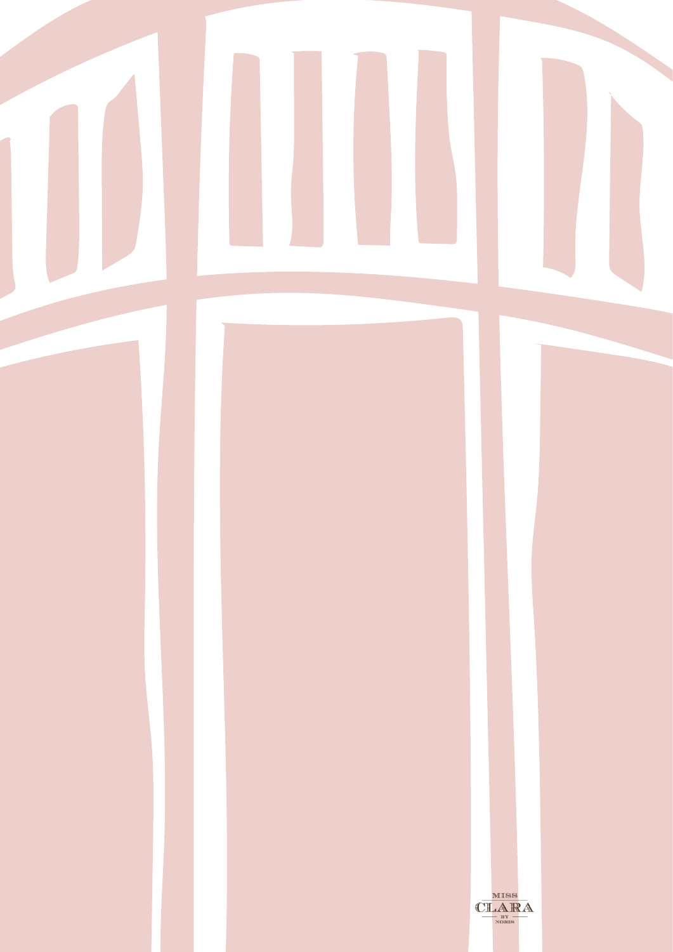